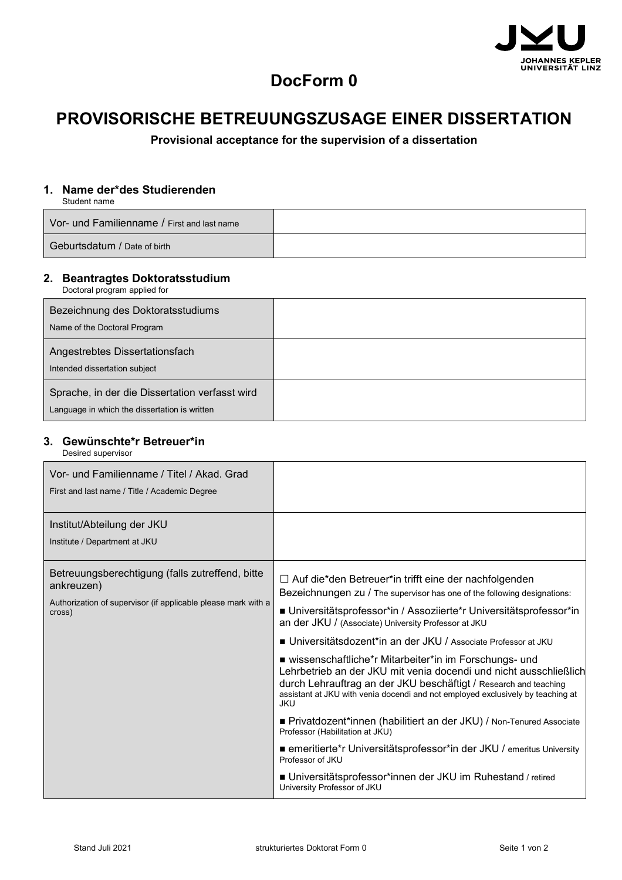

# **DocForm 0**

# **PROVISORISCHE BETREUUNGSZUSAGE EINER DISSERTATION**

**Provisional acceptance for the supervision of a dissertation**

### **1. Name der\*des Studierenden**

Student name

| Vor- und Familienname / First and last name |  |
|---------------------------------------------|--|
| Geburtsdatum / Date of birth                |  |

#### **2. Beantragtes Doktoratsstudium**

Doctoral program applied for

| Bezeichnung des Doktoratsstudiums<br>Name of the Doctoral Program                               |  |
|-------------------------------------------------------------------------------------------------|--|
| Angestrebtes Dissertationsfach<br>Intended dissertation subject                                 |  |
| Sprache, in der die Dissertation verfasst wird<br>Language in which the dissertation is written |  |

### **3. Gewünschte\*r Betreuer\*in**

| Desired supervisor |  |
|--------------------|--|
|--------------------|--|

| Vor- und Familienname / Titel / Akad. Grad<br>First and last name / Title / Academic Degree                                              |                                                                                                                                                                                                                                                                                                                                                                                                                                                                                                                                                                                                                                                                                                                                                                                                                                                                                                                                                        |
|------------------------------------------------------------------------------------------------------------------------------------------|--------------------------------------------------------------------------------------------------------------------------------------------------------------------------------------------------------------------------------------------------------------------------------------------------------------------------------------------------------------------------------------------------------------------------------------------------------------------------------------------------------------------------------------------------------------------------------------------------------------------------------------------------------------------------------------------------------------------------------------------------------------------------------------------------------------------------------------------------------------------------------------------------------------------------------------------------------|
| Institut/Abteilung der JKU<br>Institute / Department at JKU                                                                              |                                                                                                                                                                                                                                                                                                                                                                                                                                                                                                                                                                                                                                                                                                                                                                                                                                                                                                                                                        |
| Betreuungsberechtigung (falls zutreffend, bitte<br>ankreuzen)<br>Authorization of supervisor (if applicable please mark with a<br>cross) | $\Box$ Auf die*den Betreuer*in trifft eine der nachfolgenden<br>Bezeichnungen zu / The supervisor has one of the following designations:<br>■ Universitätsprofessor*in / Assoziierte*r Universitätsprofessor*in<br>an der JKU / (Associate) University Professor at JKU<br>■ Universitätsdozent*in an der JKU / Associate Professor at JKU<br>■ wissenschaftliche*r Mitarbeiter*in im Forschungs- und<br>Lehrbetrieb an der JKU mit venia docendi und nicht ausschließlich<br>durch Lehrauftrag an der JKU beschäftigt / Research and teaching<br>assistant at JKU with venia docendi and not employed exclusively by teaching at<br><b>JKU</b><br>Privatdozent*innen (habilitiert an der JKU) / Non-Tenured Associate<br>Professor (Habilitation at JKU)<br>■ emeritierte*r Universitätsprofessor*in der JKU / emeritus University<br>Professor of JKU<br>■ Universitätsprofessor*innen der JKU im Ruhestand / retired<br>University Professor of JKU |